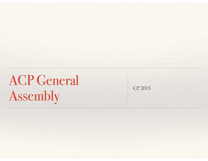# ACP General Assembly

CP 2015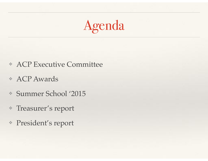# Agenda

- ❖ ACP Executive Committee
- ❖ ACP Awards
- ❖ Summer School '2015
- ❖ Treasurer's report
- ❖ President's report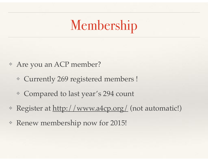# Membership

- ❖ Are you an ACP member?
	- ❖ Currently 269 registered members !
	- ❖ Compared to last year's 294 count
- ❖ Register at http://www.a4cp.org/ (not automatic!)
- ❖ Renew membership now for 2015!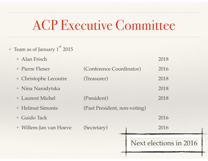#### ACP Executive Committee

 $\cdot$  Team as of January 1<sup>st</sup> 2015

| Alan Frisch                     |                                  | 2018                   |
|---------------------------------|----------------------------------|------------------------|
| * Pierre Flener                 | (Conference Coordinator)<br>2016 |                        |
| * Christophe Lecoutre           | (Treasurer)                      | 2018                   |
| • Nina Narodytska               |                                  | 2018                   |
| <b>Example 1</b> Laurent Michel | (President)                      | 2018                   |
| * Helmut Simonis                | (Past President, non-voting)     |                        |
| <b>Guido Tack</b>               |                                  | 2016                   |
| ◆ Willem-Jan van Hoeve          | (Secretary)                      | 2016                   |
|                                 |                                  | Next elections in 2016 |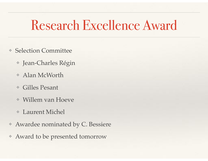#### Research Excellence Award

- ❖ Selection Committee
	- ❖ Jean-Charles Régin
	- ❖ Alan McWorth
	- ❖ Gilles Pesant
	- ❖ Willem van Hoeve
	- ❖ Laurent Michel
- ❖ Awardee nominated by C. Bessiere
- ❖ Award to be presented tomorrow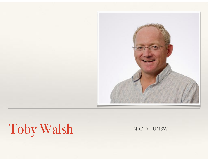

# Toby Walsh NICTA-UNSW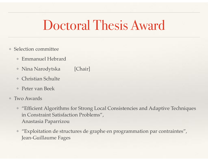#### Doctoral Thesis Award

- ❖ Selection committee
	- ❖ Emmanuel Hebrard
	- ❖ Nina Narodytska [Chair]
	- ❖ Christian Schulte
	- ❖ Peter van Beek
- ❖ Two Awards
	- ❖ "Efficient Algorithms for Strong Local Consistencies and Adaptive Techniques in Constraint Satisfaction Problems", Anastasia Paparrizou
	- ❖ "Exploitation de structures de graphe en programmation par contraintes", Jean-Guillaume Fages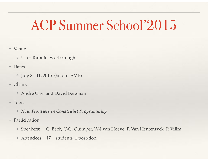#### ACP Summer School'2015

- ❖ Venue
	- ❖ U. of Toronto, Scarborough
- ❖ Dates
	- ❖ July 8 11, 2015 (before ISMP)
- ❖ Chairs
	- ❖ Andre Ciré and David Bergman
- ❖ Topic
	- ❖ *New Frontiers in Constraint Programming*
- ❖ Participation
	- ❖ Speakers: C. Beck, C-G. Quimper, W-J van Hoeve, P. Van Hentenryck, P. Vilim
	- ❖ Attendees: 17 students, 1 post-doc.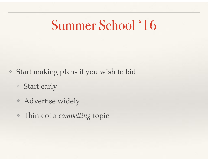#### Summer School '16

- ❖ Start making plans if you wish to bid
	- ❖ Start early
	- ❖ Advertise widely
	- ❖ Think of a *compelling* topic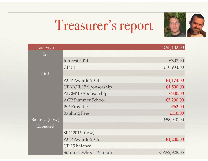

# Treasurer's report

| Last year     |                          | € $55,102.00$ |
|---------------|--------------------------|---------------|
| In            |                          |               |
|               | Interest 2014            | €807.00       |
|               | CP'14                    | €10,934.00    |
| Out           |                          |               |
|               | ACP Awards 2014          | €1,174.00     |
|               | CPAIOR'15 Sponsorship    | €1,500.00     |
|               | AIGM'15 Sponsorship      | €300.00       |
|               | <b>ACP Summer School</b> | € $5,200.00$  |
|               | <b>ISP Provider</b>      | € $62.00$     |
|               | <b>Banking Fees</b>      | €116.00       |
| Balance (now) |                          | €58,940.00    |
| Expected      |                          |               |
|               | $SPC 2015$ (low)         |               |
|               | <b>ACP Awards 2015</b>   | €1,200.00     |
|               | CP'15 balance            |               |
|               | Summer School'15 return  | CA\$2,928.05  |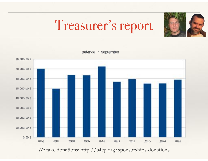### Treasurer's report



Balance in September



We take donations: http://a4cp.org/sponsorships-donations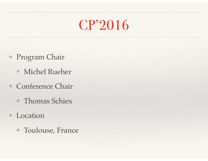#### CP'2016

- ❖ Program Chair
	- ❖ Michel Rueher
- ❖ Conference Chair
	- ❖ Thomas Schiex
- ❖ Location
	- ❖ Toulouse, France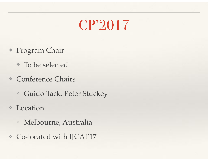#### CP'2017

- ❖ Program Chair
	- ❖ To be selected
- ❖ Conference Chairs
	- ❖ Guido Tack, Peter Stuckey
- ❖ Location
	- ❖ Melbourne, Australia
- ❖ Co-located with IJCAI'17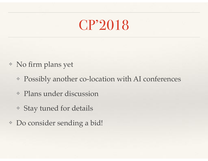#### CP'2018

- ❖ No firm plans yet
	- ❖ Possibly another co-location with AI conferences
	- ❖ Plans under discussion
	- ❖ Stay tuned for details
- ❖ Do consider sending a bid!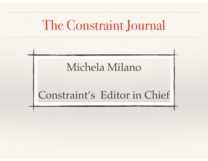#### The Constraint Journal

#### Michela Milano

#### Constraint's Editor in Chief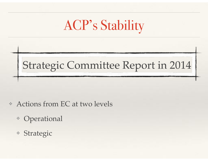### ACP's Stability

#### Strategic Committee Report in 2014

- ❖ Actions from EC at two levels
	- ❖ Operational
	- ❖ Strategic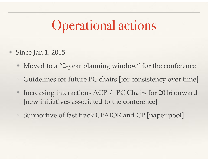#### Operational actions

- ❖ Since Jan 1, 2015
	- ❖ Moved to a "2-year planning window" for the conference
	- ❖ Guidelines for future PC chairs [for consistency over time]
	- ❖ Increasing interactions ACP / PC Chairs for 2016 onward [new initiatives associated to the conference]
	- ❖ Supportive of fast track CPAIOR and CP [paper pool]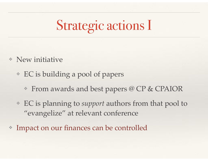# Strategic actions I

- ❖ New initiative
	- ❖ EC is building a pool of papers
		- ❖ From awards and best papers @ CP & CPAIOR
	- ❖ EC is planning to *support* authors from that pool to "evangelize" at relevant conference
- Impact on our finances can be controlled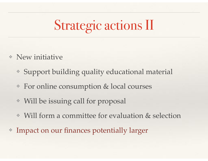# Strategic actions II

- ❖ New initiative
	- ❖ Support building quality educational material
	- ❖ For online consumption & local courses
	- ❖ Will be issuing call for proposal
	- ❖ Will form a committee for evaluation & selection
- Impact on our finances potentially larger